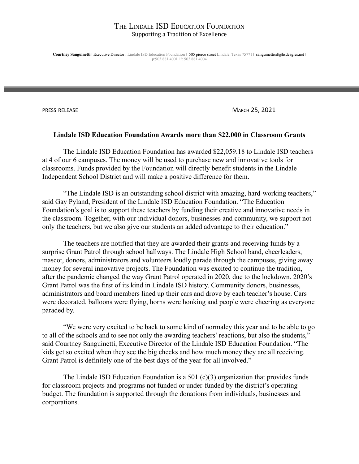**Courtney Sanguinetti** | Executive Director : Lindale ISD Education Foundation | 505 pierce street Lindale, Texas 75771 | sanguinetticd@lisdeagles.net | p:903.881.4001 | f: 903.881.4004

PRESS RELEASE MARCH 25, 2021

#### **Lindale ISD Education Foundation Awards more than \$22,000 in Classroom Grants**

The Lindale ISD Education Foundation has awarded \$22,059.18 to Lindale ISD teachers at 4 of our 6 campuses. The money will be used to purchase new and innovative tools for classrooms. Funds provided by the Foundation will directly benefit students in the Lindale Independent School District and will make a positive difference for them.

"The Lindale ISD is an outstanding school district with amazing, hard-working teachers," said Gay Pyland, President of the Lindale ISD Education Foundation. "The Education Foundation's goal is to support these teachers by funding their creative and innovative needs in the classroom. Together, with our individual donors, businesses and community, we support not only the teachers, but we also give our students an added advantage to their education."

The teachers are notified that they are awarded their grants and receiving funds by a surprise Grant Patrol through school hallways. The Lindale High School band, cheerleaders, mascot, donors, administrators and volunteers loudly parade through the campuses, giving away money for several innovative projects. The Foundation was excited to continue the tradition, after the pandemic changed the way Grant Patrol operated in 2020, due to the lockdown. 2020's Grant Patrol was the first of its kind in Lindale ISD history. Community donors, businesses, administrators and board members lined up their cars and drove by each teacher's house. Cars were decorated, balloons were flying, horns were honking and people were cheering as everyone paraded by.

"We were very excited to be back to some kind of normalcy this year and to be able to go to all of the schools and to see not only the awarding teachers' reactions, but also the students," said Courtney Sanguinetti, Executive Director of the Lindale ISD Education Foundation. "The kids get so excited when they see the big checks and how much money they are all receiving. Grant Patrol is definitely one of the best days of the year for all involved."

The Lindale ISD Education Foundation is a 501 (c)(3) organization that provides funds for classroom projects and programs not funded or under-funded by the district's operating budget. The foundation is supported through the donations from individuals, businesses and corporations.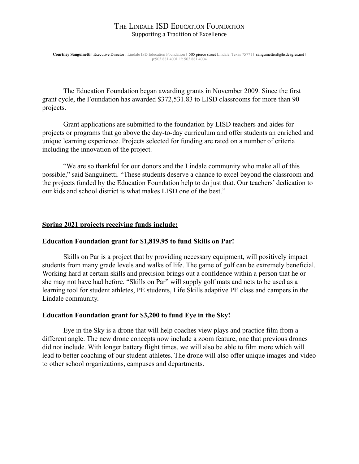**Courtney Sanguinetti** | Executive Director : Lindale ISD Education Foundation | 505 pierce street Lindale, Texas 75771 | sanguinetticd@lisdeagles.net | p:903.881.4001 | f: 903.881.4004

The Education Foundation began awarding grants in November 2009. Since the first grant cycle, the Foundation has awarded \$372,531.83 to LISD classrooms for more than 90 projects.

Grant applications are submitted to the foundation by LISD teachers and aides for projects or programs that go above the day-to-day curriculum and offer students an enriched and unique learning experience. Projects selected for funding are rated on a number of criteria including the innovation of the project.

"We are so thankful for our donors and the Lindale community who make all of this possible," said Sanguinetti. "These students deserve a chance to excel beyond the classroom and the projects funded by the Education Foundation help to do just that. Our teachers' dedication to our kids and school district is what makes LISD one of the best."

### **Spring 2021 projects receiving funds include:**

#### **Education Foundation grant for \$1,819.95 to fund Skills on Par!**

Skills on Par is a project that by providing necessary equipment, will positively impact students from many grade levels and walks of life. The game of golf can be extremely beneficial. Working hard at certain skills and precision brings out a confidence within a person that he or she may not have had before. "Skills on Par" will supply golf mats and nets to be used as a learning tool for student athletes, PE students, Life Skills adaptive PE class and campers in the Lindale community.

#### **Education Foundation grant for \$3,200 to fund Eye in the Sky!**

Eye in the Sky is a drone that will help coaches view plays and practice film from a different angle. The new drone concepts now include a zoom feature, one that previous drones did not include. With longer battery flight times, we will also be able to film more which will lead to better coaching of our student-athletes. The drone will also offer unique images and video to other school organizations, campuses and departments.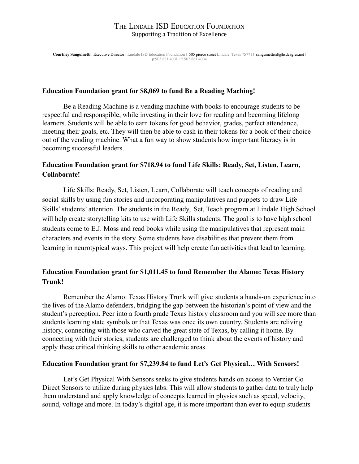**Courtney Sanguinetti** | Executive Director : Lindale ISD Education Foundation | 505 pierce street Lindale, Texas 75771 | sanguinetticd@lisdeagles.net | p:903.881.4001 | f: 903.881.4004

### **Education Foundation grant for \$8,069 to fund Be a Reading Maching!**

Be a Reading Machine is a vending machine with books to encourage students to be respectful and responspible, while investing in their love for reading and becoming lifelong learners. Students will be able to earn tokens for good behavior, grades, perfect attendance, meeting their goals, etc. They will then be able to cash in their tokens for a book of their choice out of the vending machine. What a fun way to show students how important literacy is in becoming successful leaders.

# **Education Foundation grant for \$718.94 to fund Life Skills: Ready, Set, Listen, Learn, Collaborate!**

Life Skills: Ready, Set, Listen, Learn, Collaborate will teach concepts of reading and social skills by using fun stories and incorporating manipulatives and puppets to draw Life Skills' students' attention. The students in the Ready, Set, Teach program at Lindale High School will help create storytelling kits to use with Life Skills students. The goal is to have high school students come to E.J. Moss and read books while using the manipulatives that represent main characters and events in the story. Some students have disabilities that prevent them from learning in neurotypical ways. This project will help create fun activities that lead to learning.

# **Education Foundation grant for \$1,011.45 to fund Remember the Alamo: Texas History Trunk!**

Remember the Alamo: Texas History Trunk will give students a hands-on experience into the lives of the Alamo defenders, bridging the gap between the historian's point of view and the student's perception. Peer into a fourth grade Texas history classroom and you will see more than students learning state symbols or that Texas was once its own country. Students are reliving history, connecting with those who carved the great state of Texas, by calling it home. By connecting with their stories, students are challenged to think about the events of history and apply these critical thinking skills to other academic areas.

### **Education Foundation grant for \$7,239.84 to fund Let's Get Physical… With Sensors!**

Let's Get Physical With Sensors seeks to give students hands on access to Vernier Go Direct Sensors to utilize during physics labs. This will allow students to gather data to truly help them understand and apply knowledge of concepts learned in physics such as speed, velocity, sound, voltage and more. In today's digital age, it is more important than ever to equip students